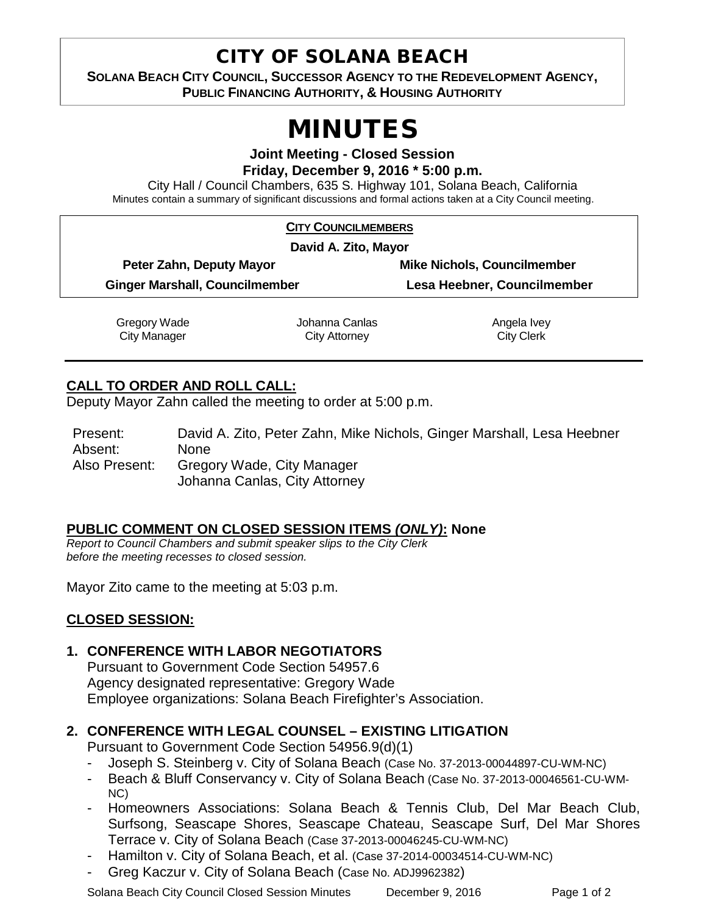# CITY OF SOLANA BEACH

**SOLANA BEACH CITY COUNCIL, SUCCESSOR AGENCY TO THE REDEVELOPMENT AGENCY, PUBLIC FINANCING AUTHORITY, & HOUSING AUTHORITY** 

# MINUTES

**Joint Meeting - Closed Session Friday, December 9, 2016 \* 5:00 p.m.**

City Hall / Council Chambers, 635 S. Highway 101, Solana Beach, California Minutes contain a summary of significant discussions and formal actions taken at a City Council meeting.

| <b>CITY COUNCILMEMBERS</b>            |                                 |                                    |
|---------------------------------------|---------------------------------|------------------------------------|
| David A. Zito, Mayor                  |                                 |                                    |
| Peter Zahn, Deputy Mayor              |                                 | <b>Mike Nichols, Councilmember</b> |
| <b>Ginger Marshall, Councilmember</b> |                                 | Lesa Heebner, Councilmember        |
| Gregory Wade<br>City Manager          | Johanna Canlas<br>City Attorney | Angela Ivey<br><b>City Clerk</b>   |

## **CALL TO ORDER AND ROLL CALL:**

Deputy Mayor Zahn called the meeting to order at 5:00 p.m.

Present: David A. Zito, Peter Zahn, Mike Nichols, Ginger Marshall, Lesa Heebner Absent: None Also Present: Gregory Wade, City Manager Johanna Canlas, City Attorney

#### **PUBLIC COMMENT ON CLOSED SESSION ITEMS** *(ONLY)***: None**

*Report to Council Chambers and submit speaker slips to the City Clerk before the meeting recesses to closed session.*

Mayor Zito came to the meeting at 5:03 p.m.

#### **CLOSED SESSION:**

#### **1. CONFERENCE WITH LABOR NEGOTIATORS**

Pursuant to Government Code Section 54957.6 Agency designated representative: Gregory Wade Employee organizations: Solana Beach Firefighter's Association.

### **2. CONFERENCE WITH LEGAL COUNSEL – EXISTING LITIGATION**

Pursuant to Government Code Section 54956.9(d)(1)

- Joseph S. Steinberg v. City of Solana Beach (Case No. 37-2013-00044897-CU-WM-NC)
- Beach & Bluff Conservancy v. City of Solana Beach (Case No. 37-2013-00046561-CU-WM-NC)
- Homeowners Associations: Solana Beach & Tennis Club, Del Mar Beach Club, Surfsong, Seascape Shores, Seascape Chateau, Seascape Surf, Del Mar Shores Terrace v. City of Solana Beach (Case 37-2013-00046245-CU-WM-NC)
- Hamilton v. City of Solana Beach, et al. (Case 37-2014-00034514-CU-WM-NC)
- Greg Kaczur v. City of Solana Beach (Case No. ADJ9962382)

Solana Beach City Council Closed Session Minutes December 9, 2016 Page 1 of 2